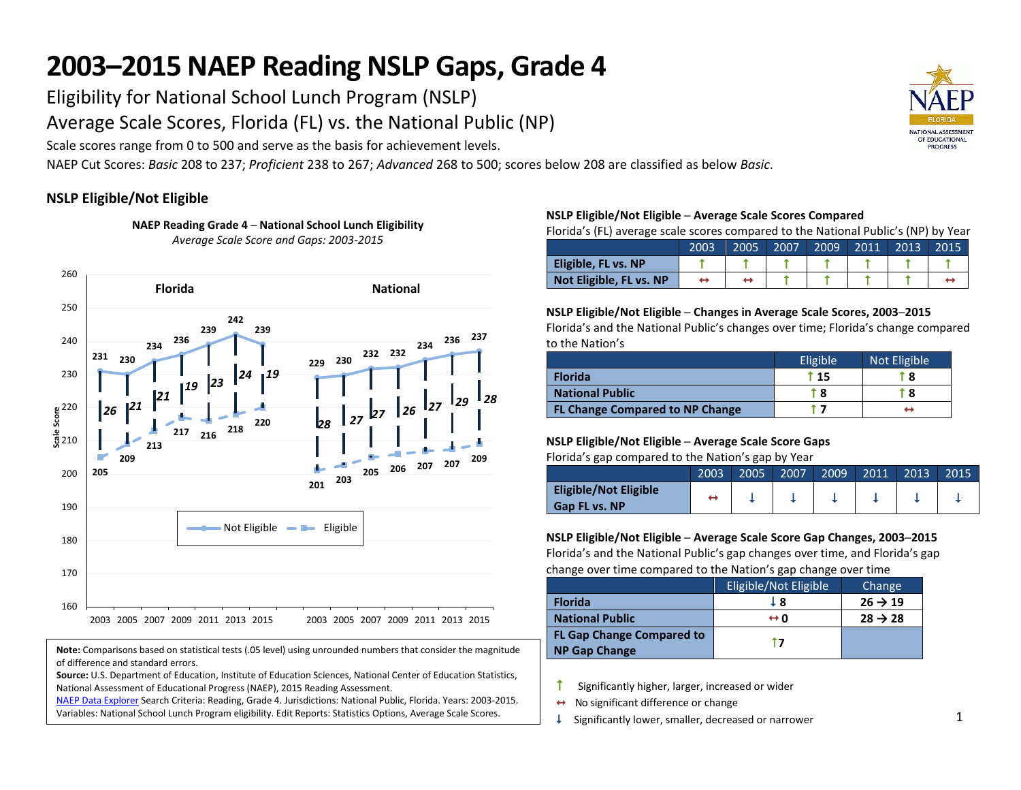# **2003–2015 NAEP Reading NSLP Gaps, Grade 4**

Eligibility for National School Lunch Program (NSLP)

Average Scale Scores, Florida (FL) vs. the National Public (NP)

Scale scores range from 0 to 500 and serve as the basis for achievement levels.

**NAEP Reading Grade 4 ─ National School Lunch Eligibility** 

NAEP Cut Scores: *Basic* 208 to 237; *Proficient* 238 to 267; *Advanced* 268 to 500; scores below 208 are classified as below *Basic*.

### **NSLP Eligible/Not Eligible**



**Note:** Comparisons based on statistical tests (.05 level) using unrounded numbers that consider the magnitude of difference and standard errors.

**Source:** U.S. Department of Education, Institute of Education Sciences, National Center of Education Statistics, National Assessment of Educational Progress (NAEP), 2015 Reading Assessment.

[NAEP Data Explorer S](http://nces.ed.gov/nationsreportcard/naepdata/)earch Criteria: Reading, Grade 4. Jurisdictions: National Public, Florida. Years: 2003-2015. Variables: National School Lunch Program eligibility. Edit Reports: Statistics Options, Average Scale Scores.

#### **NSLP Eligible/Not Eligible ─ Average Scale Scores Compared**

Florida's (FL) average scale scores compared to the National Public's (NP) by Year

|                         | 2003 | 2005 | 2007 | 2009 | 2011 | $\sqrt{2013}$ | 2015 |
|-------------------------|------|------|------|------|------|---------------|------|
| Eligible, FL vs. NP     |      |      |      |      |      |               |      |
| Not Eligible, FL vs. NP |      |      |      |      |      |               |      |

#### **NSLP Eligible/Not Eligible ─ Changes in Average Scale Scores, 2003─2015**

Florida's and the National Public's changes over time; Florida's change compared to the Nation's

|                                        | Eligible | Not Eligible |
|----------------------------------------|----------|--------------|
| <b>Florida</b>                         | i 15     | T 8          |
| <b>National Public</b>                 | r 8      | t 8          |
| <b>FL Change Compared to NP Change</b> |          |              |

#### **NSLP Eligible/Not Eligible ─ Average Scale Score Gaps**

Florida's gap compared to the Nation's gap by Year

|                                               | 2003 | 2005 | 2007 | 2009 | 2011 | 2013 | 2015 |
|-----------------------------------------------|------|------|------|------|------|------|------|
| Eligible/Not Eligible<br><b>Gap FL vs. NP</b> |      |      |      |      |      |      |      |

#### **NSLP Eligible/Not Eligible ─ Average Scale Score Gap Changes, 2003─2015**

Florida's and the National Public's gap changes over time, and Florida's gap change over time compared to the Nation's gap change over time

|                                                          | Eligible/Not Eligible | Change              |
|----------------------------------------------------------|-----------------------|---------------------|
| <b>Florida</b>                                           | J 8                   | $26 \rightarrow 19$ |
| <b>National Public</b>                                   | $\leftrightarrow$ 0   | $28 \rightarrow 28$ |
| <b>FL Gap Change Compared to</b><br><b>NP Gap Change</b> | t 7                   |                     |

 $\uparrow$  Significantly higher, larger, increased or wider

- $\leftrightarrow$  No significant difference or change
- $\downarrow$  Significantly lower, smaller, decreased or narrower

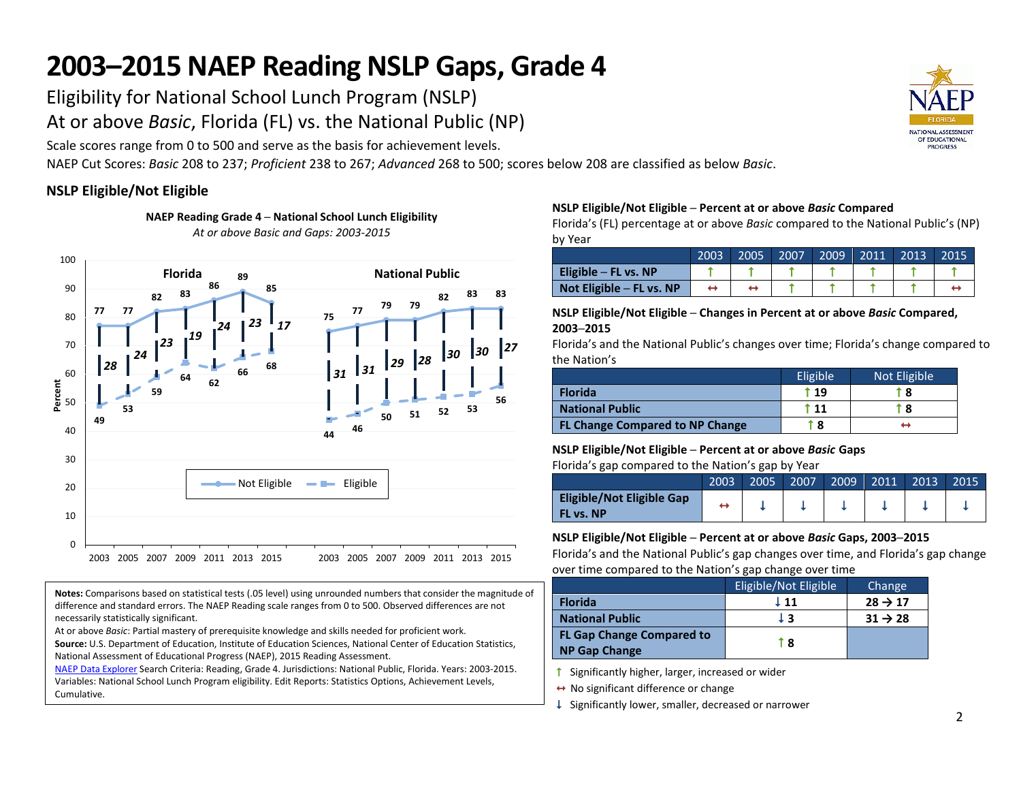# **2003–2015 NAEP Reading NSLP Gaps, Grade 4**

Eligibility for National School Lunch Program (NSLP)

At or above *Basic*, Florida (FL) vs. the National Public (NP)

Scale scores range from 0 to 500 and serve as the basis for achievement levels.

NAEP Cut Scores: *Basic* 208 to 237; *Proficient* 238 to 267; *Advanced* 268 to 500; scores below 208 are classified as below *Basic*.

### **NSLP Eligible/Not Eligible**



**NAEP Reading Grade 4 ─ National School Lunch Eligibility**  *At or above Basic and Gaps: 2003-2015* 

**Notes:** Comparisons based on statistical tests (.05 level) using unrounded numbers that consider the magnitude of difference and standard errors. The NAEP Reading scale ranges from 0 to 500. Observed differences are not necessarily statistically significant.

At or above *Basic*: Partial mastery of prerequisite knowledge and skills needed for proficient work.

**Source:** U.S. Department of Education, Institute of Education Sciences, National Center of Education Statistics, National Assessment of Educational Progress (NAEP), 2015 Reading Assessment.

[NAEP Data Explorer S](http://nces.ed.gov/nationsreportcard/naepdata/)earch Criteria: Reading, Grade 4. Jurisdictions: National Public, Florida. Years: 2003-2015. Variables: National School Lunch Program eligibility. Edit Reports: Statistics Options, Achievement Levels, Cumulative.

#### **NSLP Eligible/Not Eligible ─ Percent at or above** *Basic* **Compared**

Florida's (FL) percentage at or above *Basic* compared to the National Public's (NP) by Year

|                            | 2003 | 2005 | 2007 | 2009 | 2011 | 2013 | 2015 |
|----------------------------|------|------|------|------|------|------|------|
| Eligible $-$ FL vs. NP     |      |      |      |      |      |      |      |
| Not Eligible $-$ FL vs. NP |      |      |      |      |      |      |      |

#### **NSLP Eligible/Not Eligible ─ Changes in Percent at or above** *Basic* **Compared, 2003─2015**

Florida's and the National Public's changes over time; Florida's change compared to the Nation's

|                                        | Eligible | Not Eligible |
|----------------------------------------|----------|--------------|
| <b>Florida</b>                         | t 19     | T 8          |
| <b>National Public</b>                 | T 11     | T 8          |
| <b>FL Change Compared to NP Change</b> | t 8      |              |

#### **NSLP Eligible/Not Eligible ─ Percent at or above** *Basic* **Gaps**

Florida's gap compared to the Nation's gap by Year

|                                               | 2003 | 2005 | 2007 | 2009 | 2011 | 2013 | 2015 |
|-----------------------------------------------|------|------|------|------|------|------|------|
| <b>Eligible/Not Eligible Gap</b><br>FL vs. NP |      |      |      |      |      |      |      |

#### **NSLP Eligible/Not Eligible ─ Percent at or above** *Basic* **Gaps, 2003─2015**

Florida's and the National Public's gap changes over time, and Florida's gap change over time compared to the Nation's gap change over time

|                                                          | Eligible/Not Eligible | Change              |
|----------------------------------------------------------|-----------------------|---------------------|
| <b>Florida</b>                                           | ↓ 11                  | $28 \rightarrow 17$ |
| <b>National Public</b>                                   | ŢЗ                    | $31 \rightarrow 28$ |
| <b>FL Gap Change Compared to</b><br><b>NP Gap Change</b> | T 8                   |                     |

 $\uparrow$  Significantly higher, larger, increased or wider

↔ No significant difference or change

 $\downarrow$  Significantly lower, smaller, decreased or narrower